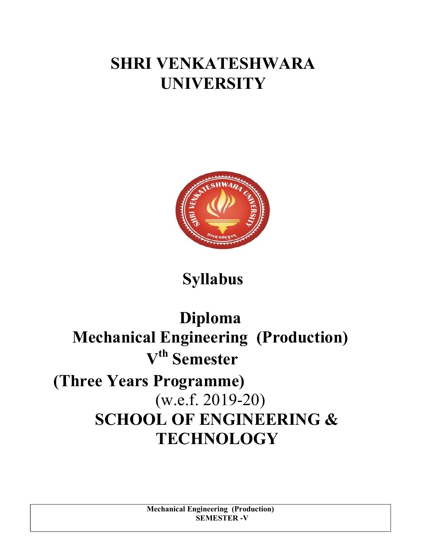# SHRI VENKATESHWARA UNIVERSITY



# Syllabus

# Diploma Mechanical Engineering (Production)  $V<sup>th</sup>$  Semester (Three Years Programme) (w.e.f. 2019-20) SCHOOL OF ENGINEERING & **TECHNOLOGY**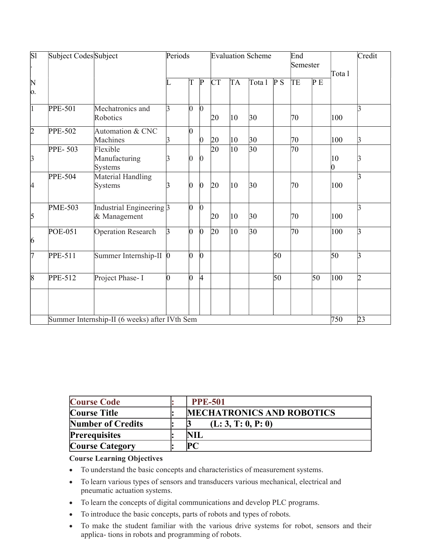| $\overline{SI}$                         | Subject Codes Subject |                                               | Periods |                |                 | <b>Evaluation Scheme</b> |              |              |     | End<br>Semester |     | Tota l  | Credit         |
|-----------------------------------------|-----------------------|-----------------------------------------------|---------|----------------|-----------------|--------------------------|--------------|--------------|-----|-----------------|-----|---------|----------------|
| $\begin{bmatrix} N \\ 0. \end{bmatrix}$ |                       |                                               | L       | T              | P               | СT                       | TA           | Tota 1       | P S | TE              | P E |         |                |
|                                         |                       |                                               |         |                |                 |                          |              |              |     |                 |     |         |                |
| $\vert$ 1                               | <b>PPE-501</b>        | Mechatronics and<br>Robotics                  | 3       | $\overline{0}$ | $\overline{0}$  | 20                       | $ 10\rangle$ | $ 30\rangle$ |     | 70              |     | 100     | k              |
| $\overline{2}$                          | <b>PPE-502</b>        | Automation & CNC<br>Machines                  | 3       | 0              | 0               | 20                       | $ 10\rangle$ | $ 30\rangle$ |     | 70              |     | 100     | $\beta$        |
| $\beta$                                 | PPE-503               | Flexible<br>Manufacturing<br><b>Systems</b>   | R       | 0              | 0               | $\overline{20}$          | $ 10\rangle$ | $ 30\rangle$ |     | 70              |     | 10<br>0 |                |
| 4                                       | <b>PPE-504</b>        | Material Handling<br>Systems                  | ß       | 0              | 0               | 20                       | $ 10\rangle$ | $ 30\rangle$ |     | 70              |     | 100     | k              |
| 5                                       | <b>PME-503</b>        | Industrial Engineering 3<br>& Management      |         | 0              | $\vert 0 \vert$ | 20                       | $ 10\rangle$ | $ 30\rangle$ |     | 70              |     | 100     | 3              |
| 6                                       | <b>POE-051</b>        | <b>Operation Research</b>                     | 3       | $\overline{0}$ | $\overline{0}$  | 20                       | $ 10\rangle$ | $ 30\rangle$ |     | $\overline{70}$ |     | 100     | k              |
| 7                                       | PPE-511               | Summer Internship-II $\vert 0 \vert$          |         | $\overline{0}$ | $\mathbf 0$     |                          |              |              | 50  |                 |     | 50      | $\vert$ 3      |
| 8                                       | PPE-512               | Project Phase- I                              | n       | $\overline{0}$ | 4               |                          |              |              | 50  |                 | 50  | 100     | $\overline{2}$ |
|                                         |                       |                                               |         |                |                 |                          |              |              |     |                 |     |         |                |
|                                         |                       | Summer Internship-II (6 weeks) after IVth Sem |         |                |                 |                          |              |              |     |                 |     | 750     | 23             |

| <b>Course Code</b>       | <b>PPE-501</b>                   |
|--------------------------|----------------------------------|
| <b>Course Title</b>      | <b>MECHATRONICS AND ROBOTICS</b> |
| <b>Number of Credits</b> | (L: 3, T: 0, P: 0)               |
| <b>Prerequisites</b>     | 'NIL                             |
| <b>Course Category</b>   | PC                               |

- To understand the basic concepts and characteristics of measurement systems.
- To learn various types of sensors and transducers various mechanical, electrical and pneumatic actuation systems.
- To learn the concepts of digital communications and develop PLC programs.
- To introduce the basic concepts, parts of robots and types of robots.
- To make the student familiar with the various drive systems for robot, sensors and their applica- tions in robots and programming of robots.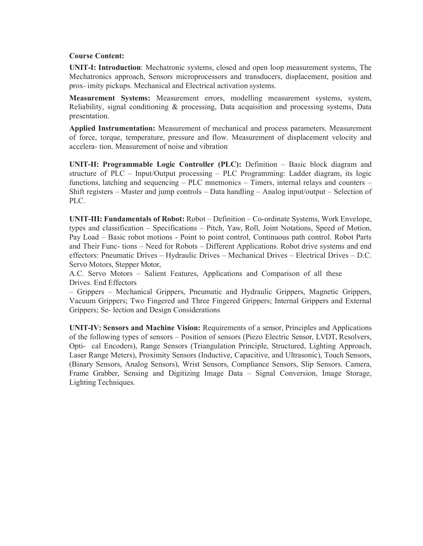#### Course Content:

UNIT-I: Introduction: Mechatronic systems, closed and open loop measurement systems, The Mechatronics approach, Sensors microprocessors and transducers, displacement, position and prox- imity pickups. Mechanical and Electrical activation systems.

Measurement Systems: Measurement errors, modelling measurement systems, system, Reliability, signal conditioning & processing, Data acquisition and processing systems, Data presentation.

Applied Instrumentation: Measurement of mechanical and process parameters. Measurement of force, torque, temperature, pressure and flow. Measurement of displacement velocity and accelera- tion. Measurement of noise and vibration

UNIT-II: Programmable Logic Controller (PLC): Definition – Basic block diagram and structure of PLC – Input/Output processing – PLC Programming: Ladder diagram, its logic functions, latching and sequencing – PLC mnemonics – Timers, internal relays and counters – Shift registers – Master and jump controls – Data handling – Analog input/output – Selection of PLC.

UNIT-III: Fundamentals of Robot: Robot – Definition – Co-ordinate Systems, Work Envelope, types and classification – Specifications – Pitch, Yaw, Roll, Joint Notations, Speed of Motion, Pay Load – Basic robot motions - Point to point control, Continuous path control. Robot Parts and Their Func- tions – Need for Robots – Different Applications. Robot drive systems and end effectors: Pneumatic Drives – Hydraulic Drives – Mechanical Drives – Electrical Drives – D.C. Servo Motors, Stepper Motor,

A.C. Servo Motors – Salient Features, Applications and Comparison of all these Drives. End Effectors

– Grippers – Mechanical Grippers, Pneumatic and Hydraulic Grippers, Magnetic Grippers, Vacuum Grippers; Two Fingered and Three Fingered Grippers; Internal Grippers and External Grippers; Se- lection and Design Considerations

UNIT-IV: Sensors and Machine Vision: Requirements of a sensor, Principles and Applications of the following types of sensors – Position of sensors (Piezo Electric Sensor, LVDT, Resolvers, Opti- cal Encoders), Range Sensors (Triangulation Principle, Structured, Lighting Approach, Laser Range Meters), Proximity Sensors (Inductive, Capacitive, and Ultrasonic), Touch Sensors, (Binary Sensors, Analog Sensors), Wrist Sensors, Compliance Sensors, Slip Sensors. Camera, Frame Grabber, Sensing and Digitizing Image Data – Signal Conversion, Image Storage, Lighting Techniques.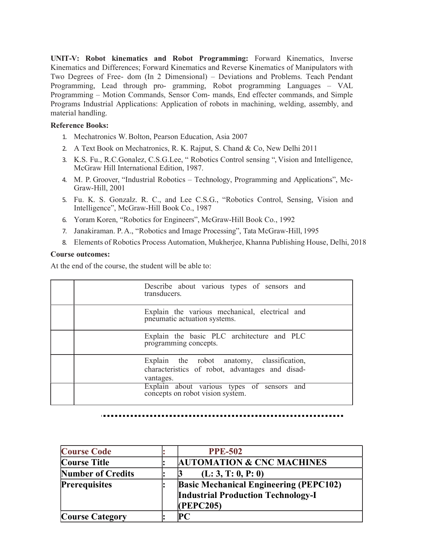UNIT-V: Robot kinematics and Robot Programming: Forward Kinematics, Inverse Kinematics and Differences; Forward Kinematics and Reverse Kinematics of Manipulators with Two Degrees of Free- dom (In 2 Dimensional) – Deviations and Problems. Teach Pendant Programming, Lead through pro- gramming, Robot programming Languages – VAL Programming – Motion Commands, Sensor Com- mands, End effecter commands, and Simple Programs Industrial Applications: Application of robots in machining, welding, assembly, and material handling.

#### Reference Books:

- 1. Mechatronics W. Bolton, Pearson Education, Asia 2007
- 2. A Text Book on Mechatronics, R. K. Rajput, S. Chand & Co, New Delhi 2011
- 3. K.S. Fu., R.C.Gonalez, C.S.G.Lee, " Robotics Control sensing ", Vision and Intelligence, McGraw Hill International Edition, 1987.
- 4. M. P. Groover, "Industrial Robotics Technology, Programming and Applications", Mc-Graw-Hill, 2001
- 5. Fu. K. S. Gonzalz. R. C., and Lee C.S.G., "Robotics Control, Sensing, Vision and Intelligence", McGraw-Hill Book Co., 1987
- 6. Yoram Koren, "Robotics for Engineers", McGraw-Hill Book Co., 1992
- 7. Janakiraman. P. A., "Robotics and Image Processing", Tata McGraw-Hill, 1995
- 8. Elements of Robotics Process Automation, Mukherjee, Khanna Publishing House, Delhi, 2018

#### Course outcomes:

| Describe about various types of sensors and<br>transducers.                                                |
|------------------------------------------------------------------------------------------------------------|
| Explain the various mechanical, electrical and<br>pneumatic actuation systems.                             |
| Explain the basic PLC architecture and PLC<br>programming concepts.                                        |
| Explain the robot anatomy, classification,<br>characteristics of robot, advantages and disad-<br>vantages. |
| Explain about various types of sensors and concepts on robot vision system.                                |

| <b>Course Code</b>       | <b>PPE-502</b>                                                                                          |
|--------------------------|---------------------------------------------------------------------------------------------------------|
| <b>Course Title</b>      | <b>AUTOMATION &amp; CNC MACHINES</b>                                                                    |
| <b>Number of Credits</b> | (L: 3, T: 0, P: 0)                                                                                      |
| <b>Prerequisites</b>     | <b>Basic Mechanical Engineering (PEPC102)</b><br><b>Industrial Production Technology-I</b><br>(PEPC205) |
| <b>Course Category</b>   | PС                                                                                                      |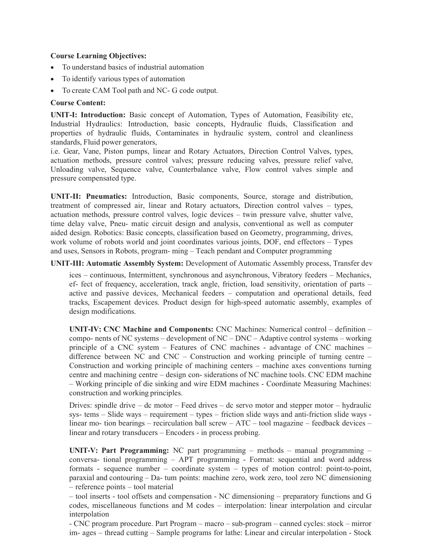- To understand basics of industrial automation
- To identify various types of automation
- To create CAM Tool path and NC- G code output.

## Course Content:

UNIT-I: Introduction: Basic concept of Automation, Types of Automation, Feasibility etc, Industrial Hydraulics: Introduction, basic concepts, Hydraulic fluids, Classification and properties of hydraulic fluids, Contaminates in hydraulic system, control and cleanliness standards, Fluid power generators,

i.e. Gear, Vane, Piston pumps, linear and Rotary Actuators, Direction Control Valves, types, actuation methods, pressure control valves; pressure reducing valves, pressure relief valve, Unloading valve, Sequence valve, Counterbalance valve, Flow control valves simple and pressure compensated type.

UNIT-II: Pneumatics: Introduction, Basic components, Source, storage and distribution, treatment of compressed air, linear and Rotary actuators, Direction control valves – types, actuation methods, pressure control valves, logic devices – twin pressure valve, shutter valve, time delay valve, Pneu- matic circuit design and analysis, conventional as well as computer aided design. Robotics: Basic concepts, classification based on Geometry, programming, drives, work volume of robots world and joint coordinates various joints, DOF, end effectors – Types and uses, Sensors in Robots, program- ming – Teach pendant and Computer programming

## UNIT-III: Automatic Assembly System: Development of Automatic Assembly process, Transfer dev

ices – continuous, Intermittent, synchronous and asynchronous, Vibratory feeders – Mechanics, ef- fect of frequency, acceleration, track angle, friction, load sensitivity, orientation of parts – active and passive devices, Mechanical feeders – computation and operational details, feed tracks, Escapement devices. Product design for high-speed automatic assembly, examples of design modifications.

UNIT-IV: CNC Machine and Components: CNC Machines: Numerical control – definition – compo- nents of NC systems – development of NC – DNC – Adaptive control systems – working principle of a CNC system – Features of CNC machines - advantage of CNC machines – difference between NC and CNC – Construction and working principle of turning centre – Construction and working principle of machining centers – machine axes conventions turning centre and machining centre – design con- siderations of NC machine tools. CNC EDM machine – Working principle of die sinking and wire EDM machines - Coordinate Measuring Machines: construction and working principles.

Drives: spindle drive – dc motor – Feed drives – dc servo motor and stepper motor – hydraulic sys- tems – Slide ways – requirement – types – friction slide ways and anti-friction slide ways linear mo- tion bearings – recirculation ball screw – ATC – tool magazine – feedback devices – linear and rotary transducers – Encoders - in process probing.

UNIT-V: Part Programming: NC part programming – methods – manual programming – conversa- tional programming – APT programming - Format: sequential and word address formats - sequence number – coordinate system – types of motion control: point-to-point, paraxial and contouring – Da- tum points: machine zero, work zero, tool zero NC dimensioning – reference points – tool material

– tool inserts - tool offsets and compensation - NC dimensioning – preparatory functions and G codes, miscellaneous functions and M codes – interpolation: linear interpolation and circular interpolation

- CNC program procedure. Part Program – macro – sub-program – canned cycles: stock – mirror im- ages – thread cutting – Sample programs for lathe: Linear and circular interpolation - Stock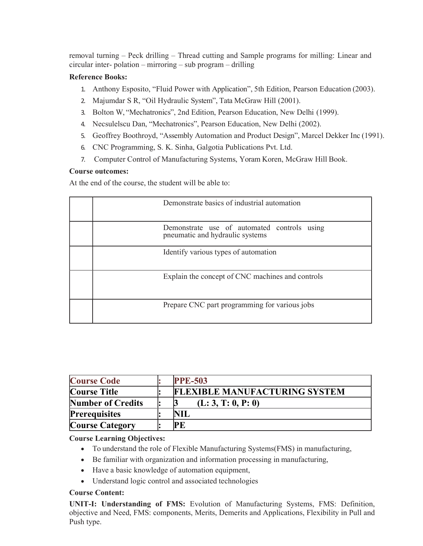removal turning – Peck drilling – Thread cutting and Sample programs for milling: Linear and circular inter- polation – mirroring – sub program – drilling

# Reference Books:

- 1. Anthony Esposito, "Fluid Power with Application", 5th Edition, Pearson Education (2003).
- 2. Majumdar S R, "Oil Hydraulic System", Tata McGraw Hill (2001).
- 3. Bolton W, "Mechatronics", 2nd Edition, Pearson Education, New Delhi (1999).
- 4. Necsulelscu Dan, "Mechatronics", Pearson Education, New Delhi (2002).
- 5. Geoffrey Boothroyd, "Assembly Automation and Product Design", Marcel Dekker Inc (1991).
- 6. CNC Programming, S. K. Sinha, Galgotia Publications Pvt. Ltd.
- 7. Computer Control of Manufacturing Systems, Yoram Koren, McGraw Hill Book.

## Course outcomes:

At the end of the course, the student will be able to:

| Demonstrate basics of industrial automation                                    |
|--------------------------------------------------------------------------------|
| Demonstrate use of automated controls using<br>pneumatic and hydraulic systems |
| Identify various types of automation                                           |
| Explain the concept of CNC machines and controls                               |
| Prepare CNC part programming for various jobs                                  |

| <b>Course Code</b>       | <b>PPE-503</b>                       |
|--------------------------|--------------------------------------|
| <b>Course Title</b>      | <b>FLEXIBLE MANUFACTURING SYSTEM</b> |
| <b>Number of Credits</b> | (L: 3, T: 0, P: 0)                   |
| <b>Prerequisites</b>     | <b>NIL</b>                           |
| <b>Course Category</b>   | <b>PE</b>                            |

#### Course Learning Objectives:

- To understand the role of Flexible Manufacturing Systems(FMS) in manufacturing,
- Be familiar with organization and information processing in manufacturing,
- Have a basic knowledge of automation equipment,
- Understand logic control and associated technologies

#### Course Content:

UNIT-I: Understanding of FMS: Evolution of Manufacturing Systems, FMS: Definition, objective and Need, FMS: components, Merits, Demerits and Applications, Flexibility in Pull and Push type.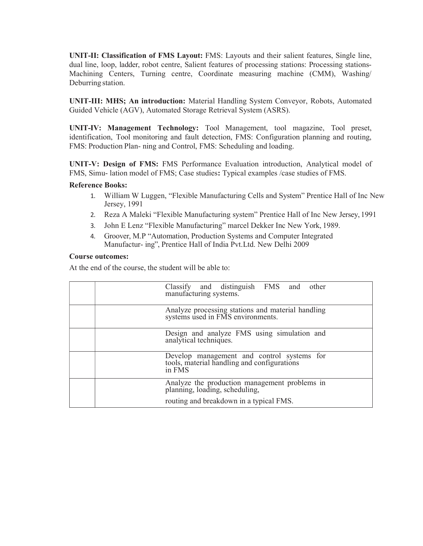UNIT-II: Classification of FMS Layout: FMS: Layouts and their salient features, Single line, dual line, loop, ladder, robot centre, Salient features of processing stations: Processing stations-Machining Centers, Turning centre, Coordinate measuring machine (CMM), Washing/ Deburring station.

UNIT-III: MHS; An introduction: Material Handling System Conveyor, Robots, Automated Guided Vehicle (AGV), Automated Storage Retrieval System (ASRS).

UNIT-IV: Management Technology: Tool Management, tool magazine, Tool preset, identification, Tool monitoring and fault detection, FMS: Configuration planning and routing, FMS: Production Plan- ning and Control, FMS: Scheduling and loading.

UNIT-V: Design of FMS: FMS Performance Evaluation introduction, Analytical model of FMS, Simu- lation model of FMS; Case studies: Typical examples /case studies of FMS.

#### Reference Books:

- 1. William W Luggen, "Flexible Manufacturing Cells and System" Prentice Hall of Inc New Jersey, 1991
- 2. Reza A Maleki "Flexible Manufacturing system" Prentice Hall of Inc New Jersey, 1991
- 3. John E Lenz "Flexible Manufacturing" marcel Dekker Inc New York, 1989.
- 4. Groover, M.P "Automation, Production Systems and Computer Integrated Manufactur- ing", Prentice Hall of India Pvt.Ltd. New Delhi 2009

#### Course outcomes:

| Classify and distinguish FMS and other<br>manufacturing systems.                                 |
|--------------------------------------------------------------------------------------------------|
| Analyze processing stations and material handling<br>systems used in FMS environments.           |
| Design and analyze FMS using simulation and<br>analytical techniques.                            |
| Develop management and control systems for tools, material handling and configurations<br>in FMS |
| Analyze the production management problems in planning, loading, scheduling,                     |
| routing and breakdown in a typical FMS.                                                          |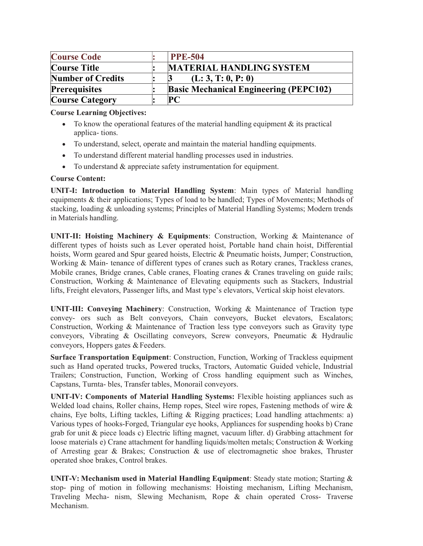| <b>Course Code</b>       | <b>PPE-504</b>                                |
|--------------------------|-----------------------------------------------|
| <b>Course Title</b>      | <b>MATERIAL HANDLING SYSTEM</b>               |
| <b>Number of Credits</b> | (L: 3, T: 0, P: 0)                            |
| <b>Prerequisites</b>     | <b>Basic Mechanical Engineering (PEPC102)</b> |
| <b>Course Category</b>   | PC                                            |

- $\bullet$  To know the operational features of the material handling equipment  $\&$  its practical applica- tions.
- To understand, select, operate and maintain the material handling equipments.
- To understand different material handling processes used in industries.
- To understand & appreciate safety instrumentation for equipment.

# Course Content:

UNIT-I: Introduction to Material Handling System: Main types of Material handling equipments & their applications; Types of load to be handled; Types of Movements; Methods of stacking, loading & unloading systems; Principles of Material Handling Systems; Modern trends in Materials handling.

UNIT-II: Hoisting Machinery & Equipments: Construction, Working & Maintenance of different types of hoists such as Lever operated hoist, Portable hand chain hoist, Differential hoists, Worm geared and Spur geared hoists, Electric & Pneumatic hoists, Jumper; Construction, Working & Main- tenance of different types of cranes such as Rotary cranes, Trackless cranes, Mobile cranes, Bridge cranes, Cable cranes, Floating cranes & Cranes traveling on guide rails; Construction, Working & Maintenance of Elevating equipments such as Stackers, Industrial lifts, Freight elevators, Passenger lifts, and Mast type's elevators, Vertical skip hoist elevators.

UNIT-III: Conveying Machinery: Construction, Working & Maintenance of Traction type convey- ors such as Belt conveyors, Chain conveyors, Bucket elevators, Escalators; Construction, Working & Maintenance of Traction less type conveyors such as Gravity type conveyors, Vibrating & Oscillating conveyors, Screw conveyors, Pneumatic & Hydraulic conveyors, Hoppers gates & Feeders.

Surface Transportation Equipment: Construction, Function, Working of Trackless equipment such as Hand operated trucks, Powered trucks, Tractors, Automatic Guided vehicle, Industrial Trailers; Construction, Function, Working of Cross handling equipment such as Winches, Capstans, Turnta- bles, Transfer tables, Monorail conveyors.

UNIT-IV: Components of Material Handling Systems: Flexible hoisting appliances such as Welded load chains, Roller chains, Hemp ropes, Steel wire ropes, Fastening methods of wire & chains, Eye bolts, Lifting tackles, Lifting & Rigging practices; Load handling attachments: a) Various types of hooks-Forged, Triangular eye hooks, Appliances for suspending hooks b) Crane grab for unit & piece loads c) Electric lifting magnet, vacuum lifter. d) Grabbing attachment for loose materials e) Crane attachment for handling liquids/molten metals; Construction & Working of Arresting gear & Brakes; Construction & use of electromagnetic shoe brakes, Thruster operated shoe brakes, Control brakes.

UNIT-V: Mechanism used in Material Handling Equipment: Steady state motion; Starting  $\&$ stop- ping of motion in following mechanisms: Hoisting mechanism, Lifting Mechanism, Traveling Mecha- nism, Slewing Mechanism, Rope & chain operated Cross- Traverse Mechanism.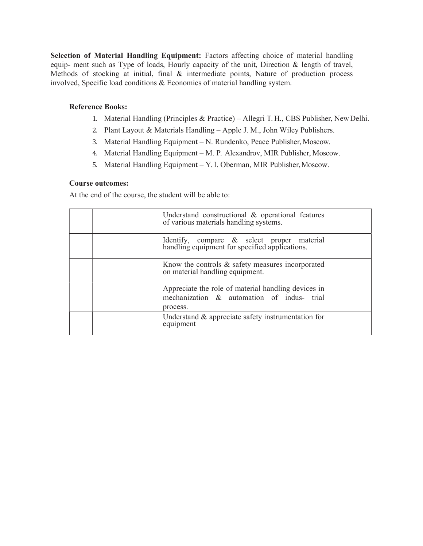Selection of Material Handling Equipment: Factors affecting choice of material handling equip- ment such as Type of loads, Hourly capacity of the unit, Direction & length of travel, Methods of stocking at initial, final & intermediate points, Nature of production process involved, Specific load conditions & Economics of material handling system.

#### Reference Books:

- 1. Material Handling (Principles & Practice) Allegri T. H., CBS Publisher, New Delhi.
- 2. Plant Layout & Materials Handling Apple J. M., John Wiley Publishers.
- 3. Material Handling Equipment N. Rundenko, Peace Publisher, Moscow.
- 4. Material Handling Equipment M. P. Alexandrov, MIR Publisher, Moscow.
- 5. Material Handling Equipment Y. I. Oberman, MIR Publisher, Moscow.

#### Course outcomes:

| Understand constructional & operational features<br>of various materials handling systems.                    |
|---------------------------------------------------------------------------------------------------------------|
| Identify, compare & select proper material handling equipment for specified applications.                     |
| Know the controls $\&$ safety measures incorporated<br>on material handling equipment.                        |
| Appreciate the role of material handling devices in<br>mechanization & automation of indus- trial<br>process. |
| Understand & appreciate safety instrumentation for<br>equipment                                               |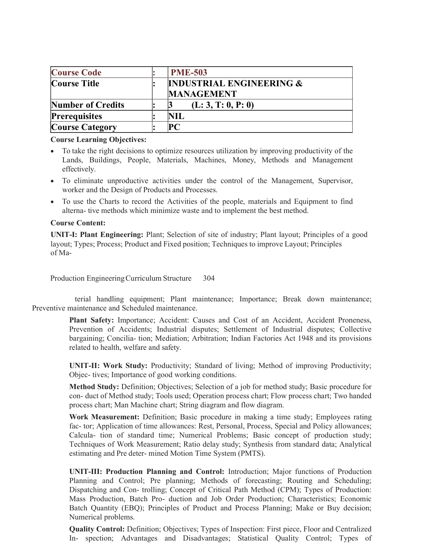| <b>Course Code</b>       | <b>PME-503</b>                      |
|--------------------------|-------------------------------------|
| Course Title             | <b>INDUSTRIAL ENGINEERING &amp;</b> |
|                          | <b>MANAGEMENT</b>                   |
| <b>Number of Credits</b> | (L: 3, T: 0, P: 0)                  |
| <b>Prerequisites</b>     | NIL                                 |
| <b>Course Category</b>   |                                     |

- To take the right decisions to optimize resources utilization by improving productivity of the Lands, Buildings, People, Materials, Machines, Money, Methods and Management effectively.
- To eliminate unproductive activities under the control of the Management, Supervisor, worker and the Design of Products and Processes.
- To use the Charts to record the Activities of the people, materials and Equipment to find alterna- tive methods which minimize waste and to implement the best method.

#### Course Content:

UNIT-I: Plant Engineering: Plant; Selection of site of industry; Plant layout; Principles of a good layout; Types; Process; Product and Fixed position; Techniques to improve Layout; Principles of Ma-

Production Engineering Curriculum Structure 304

 terial handling equipment; Plant maintenance; Importance; Break down maintenance; Preventive maintenance and Scheduled maintenance.

> Plant Safety: Importance; Accident: Causes and Cost of an Accident, Accident Proneness, Prevention of Accidents; Industrial disputes; Settlement of Industrial disputes; Collective bargaining; Concilia- tion; Mediation; Arbitration; Indian Factories Act 1948 and its provisions related to health, welfare and safety.

> UNIT-II: Work Study: Productivity; Standard of living; Method of improving Productivity; Objec- tives; Importance of good working conditions.

> Method Study: Definition; Objectives; Selection of a job for method study; Basic procedure for con- duct of Method study; Tools used; Operation process chart; Flow process chart; Two handed process chart; Man Machine chart; String diagram and flow diagram.

> Work Measurement: Definition; Basic procedure in making a time study; Employees rating fac- tor; Application of time allowances: Rest, Personal, Process, Special and Policy allowances; Calcula- tion of standard time; Numerical Problems; Basic concept of production study; Techniques of Work Measurement; Ratio delay study; Synthesis from standard data; Analytical estimating and Pre deter- mined Motion Time System (PMTS).

> UNIT-III: Production Planning and Control: Introduction; Major functions of Production Planning and Control; Pre planning; Methods of forecasting; Routing and Scheduling; Dispatching and Con- trolling; Concept of Critical Path Method (CPM); Types of Production: Mass Production, Batch Pro- duction and Job Order Production; Characteristics; Economic Batch Quantity (EBQ); Principles of Product and Process Planning; Make or Buy decision; Numerical problems.

> Quality Control: Definition; Objectives; Types of Inspection: First piece, Floor and Centralized In- spection; Advantages and Disadvantages; Statistical Quality Control; Types of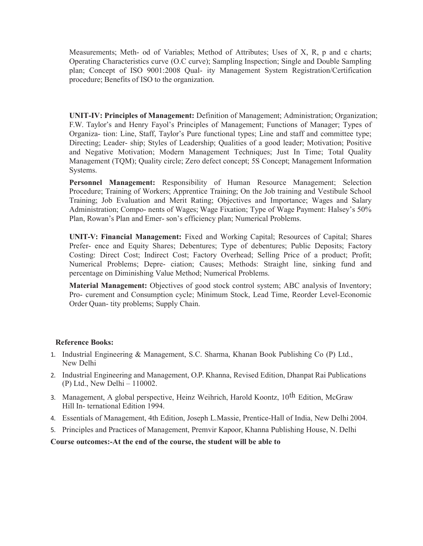Measurements; Meth- od of Variables; Method of Attributes; Uses of X, R, p and c charts; Operating Characteristics curve (O.C curve); Sampling Inspection; Single and Double Sampling plan; Concept of ISO 9001:2008 Qual- ity Management System Registration/Certification procedure; Benefits of ISO to the organization.

UNIT-IV: Principles of Management: Definition of Management; Administration; Organization; F.W. Taylor's and Henry Fayol's Principles of Management; Functions of Manager; Types of Organiza- tion: Line, Staff, Taylor's Pure functional types; Line and staff and committee type; Directing; Leader- ship; Styles of Leadership; Qualities of a good leader; Motivation; Positive and Negative Motivation; Modern Management Techniques; Just In Time; Total Quality Management (TQM); Quality circle; Zero defect concept; 5S Concept; Management Information Systems.

Personnel Management: Responsibility of Human Resource Management; Selection Procedure; Training of Workers; Apprentice Training; On the Job training and Vestibule School Training; Job Evaluation and Merit Rating; Objectives and Importance; Wages and Salary Administration; Compo- nents of Wages; Wage Fixation; Type of Wage Payment: Halsey's 50% Plan, Rowan's Plan and Emer- son's efficiency plan; Numerical Problems.

UNIT-V: Financial Management: Fixed and Working Capital; Resources of Capital; Shares Prefer- ence and Equity Shares; Debentures; Type of debentures; Public Deposits; Factory Costing: Direct Cost; Indirect Cost; Factory Overhead; Selling Price of a product; Profit; Numerical Problems; Depre- ciation; Causes; Methods: Straight line, sinking fund and percentage on Diminishing Value Method; Numerical Problems.

Material Management: Objectives of good stock control system; ABC analysis of Inventory; Pro- curement and Consumption cycle; Minimum Stock, Lead Time, Reorder Level-Economic Order Quan- tity problems; Supply Chain.

#### Reference Books:

- 1. Industrial Engineering & Management, S.C. Sharma, Khanan Book Publishing Co (P) Ltd., New Delhi
- 2. Industrial Engineering and Management, O.P. Khanna, Revised Edition, Dhanpat Rai Publications (P) Ltd., New Delhi – 110002.
- 3. Management, A global perspective, Heinz Weihrich, Harold Koontz, 10<sup>th</sup> Edition, McGraw Hill In- ternational Edition 1994.
- 4. Essentials of Management, 4th Edition, Joseph L.Massie, Prentice-Hall of India, New Delhi 2004.
- 5. Principles and Practices of Management, Premvir Kapoor, Khanna Publishing House, N. Delhi

Course outcomes:-At the end of the course, the student will be able to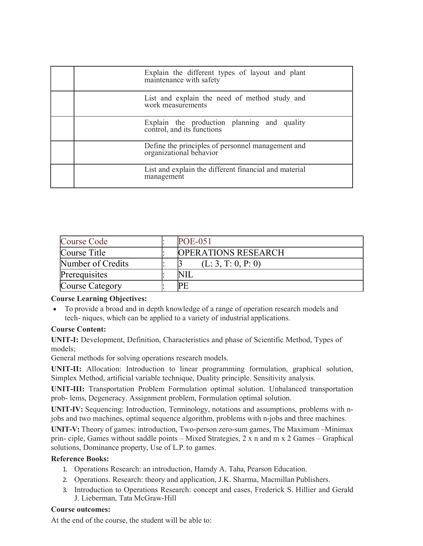| Explain the different types of layout and plant maintenance with safety      |  |
|------------------------------------------------------------------------------|--|
| List and explain the need of method study and<br>work measurements           |  |
| Explain the production planning and quality control, and its functions       |  |
| Define the principles of personnel management and<br>organizational behavior |  |
| List and explain the different financial and material<br>management          |  |

| Course Code       | <b>POE-051</b>             |
|-------------------|----------------------------|
| Course Title      | <b>OPERATIONS RESEARCH</b> |
| Number of Credits | (L: 3, T: 0, P: 0)         |
| Prerequisites     |                            |
| Course Category   | IPF                        |

 To provide a broad and in depth knowledge of a range of operation research models and tech- niques, which can be applied to a variety of industrial applications.

# Course Content:

UNIT-I: Development, Definition, Characteristics and phase of Scientific Method, Types of models;

General methods for solving operations research models.

UNIT-II: Allocation: Introduction to linear programming formulation, graphical solution, Simplex Method, artificial variable technique, Duality principle. Sensitivity analysis.

UNIT-III: Transportation Problem Formulation optimal solution. Unbalanced transportation prob- lems, Degeneracy. Assignment problem, Formulation optimal solution.

UNIT-IV: Sequencing: Introduction, Terminology, notations and assumptions, problems with njobs and two machines, optimal sequence algorithm, problems with n-jobs and three machines.

UNIT-V: Theory of games: introduction, Two-person zero-sum games, The Maximum –Minimax prin- ciple, Games without saddle points – Mixed Strategies, 2 x n and m x 2 Games – Graphical solutions, Dominance property, Use of L.P. to games.

# Reference Books:

- 1. Operations Research: an introduction, Hamdy A. Taha, Pearson Education.
- 2. Operations. Research: theory and application, J.K. Sharma, Macmillan Publishers.
- 3. Introduction to Operations Research: concept and cases, Frederick S. Hillier and Gerald J. Lieberman, Tata McGraw-Hill

#### Course outcomes: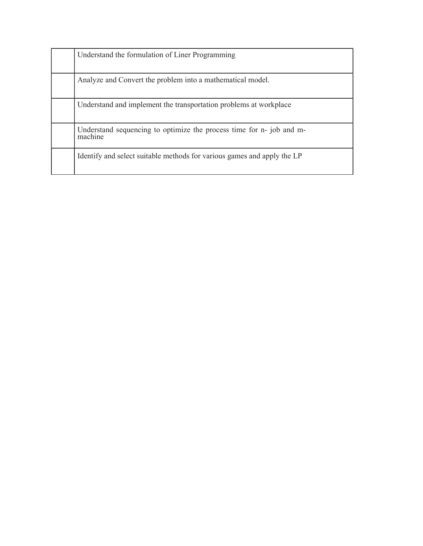| Understand the formulation of Liner Programming                                 |
|---------------------------------------------------------------------------------|
| Analyze and Convert the problem into a mathematical model.                      |
| Understand and implement the transportation problems at workplace               |
| Understand sequencing to optimize the process time for n- job and m-<br>machine |
| Identify and select suitable methods for various games and apply the LP         |